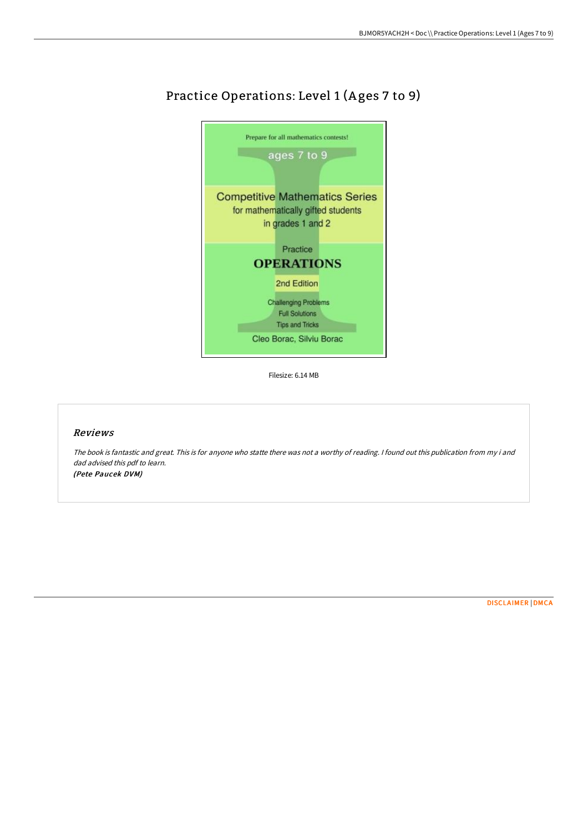

# Practice Operations: Level 1 (Ages 7 to 9)

Filesize: 6.14 MB

## Reviews

The book is fantastic and great. This is for anyone who statte there was not <sup>a</sup> worthy of reading. <sup>I</sup> found out this publication from my i and dad advised this pdf to learn. (Pete Paucek DVM)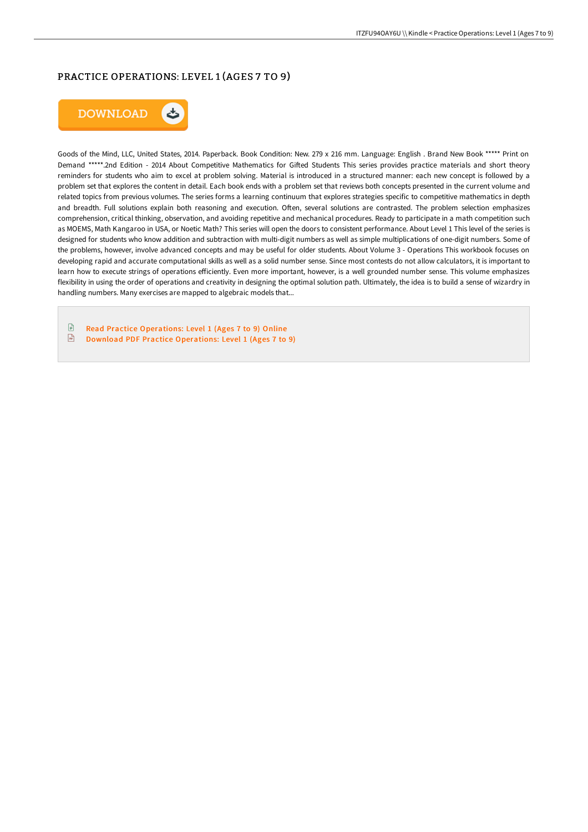# PRACTICE OPERATIONS: LEVEL 1 (AGES 7 TO 9)



Goods of the Mind, LLC, United States, 2014. Paperback. Book Condition: New. 279 x 216 mm. Language: English . Brand New Book \*\*\*\*\* Print on Demand \*\*\*\*\*.2nd Edition - 2014 About Competitive Mathematics for Gifted Students This series provides practice materials and short theory reminders for students who aim to excel at problem solving. Material is introduced in a structured manner: each new concept is followed by a problem set that explores the content in detail. Each book ends with a problem set that reviews both concepts presented in the current volume and related topics from previous volumes. The series forms a learning continuum that explores strategies specific to competitive mathematics in depth and breadth. Full solutions explain both reasoning and execution. Often, several solutions are contrasted. The problem selection emphasizes comprehension, critical thinking, observation, and avoiding repetitive and mechanical procedures. Ready to participate in a math competition such as MOEMS, Math Kangaroo in USA, or Noetic Math? This series will open the doors to consistent performance. About Level 1 This level of the series is designed for students who know addition and subtraction with multi-digit numbers as well as simple multiplications of one-digit numbers. Some of the problems, however, involve advanced concepts and may be useful for older students. About Volume 3 - Operations This workbook focuses on developing rapid and accurate computational skills as well as a solid number sense. Since most contests do not allow calculators, it is important to learn how to execute strings of operations eFiciently. Even more important, however, is a well grounded number sense. This volume emphasizes flexibility in using the order of operations and creativity in designing the optimal solution path. Ultimately, the idea is to build a sense of wizardry in handling numbers. Many exercises are mapped to algebraic models that...

 $\mathbb{R}$ Read Practice [Operations:](http://albedo.media/practice-operations-level-1-ages-7-to-9-paperbac.html) Level 1 (Ages 7 to 9) Online  $\frac{D}{R}$ Download PDF Practice [Operations:](http://albedo.media/practice-operations-level-1-ages-7-to-9-paperbac.html) Level 1 (Ages 7 to 9)